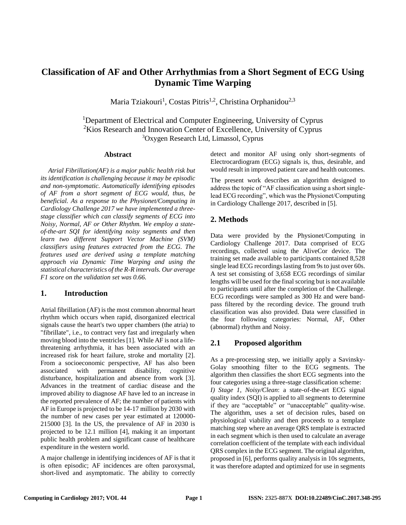# **Classification of AF and Other Arrhythmias from a Short Segment of ECG Using Dynamic Time Warping**

Maria Tziakouri<sup>1</sup>, Costas Pitris<sup>1,2</sup>, Christina Orphanidou<sup>2,3</sup>

<sup>1</sup>Department of Electrical and Computer Engineering, University of Cyprus <sup>2</sup>Kios Research and Innovation Center of Excellence, University of Cyprus <sup>3</sup>Oxygen Research Ltd, Limassol, Cyprus

#### **Abstract**

*Atrial Fibrillation(AF) is a major public health risk but its identification is challenging because it may be episodic and non-symptomatic. Automatically identifying episodes of AF from a short segment of ECG would, thus, be beneficial. As a response to the Physionet/Computing in Cardiology Challenge 2017 we have implemented a threestage classifier which can classify segments of ECG into Noisy, Normal, AF or Other Rhythm. We employ a stateof-the-art SQI for identifying noisy segments and then learn two different Support Vector Machine (SVM) classifiers using features extracted from the ECG. The features used are derived using a template matching approach via Dynamic Time Warping and using the statistical characteristics of the R-R intervals. Our average F1 score on the validation set was 0.66.* 

## **1. Introduction**

Atrial fibrillation (AF) is the most common abnormal heart rhythm which occurs when rapid, disorganized electrical signals cause the heart's two upper chambers (the atria) to "fibrillate", i.e., to contract very fast and irregularly when moving blood into the ventricles [1]. While AF is not a lifethreatening arrhythmia, it has been associated with an increased risk for heart failure, stroke and mortality [2]. From a socioeconomic perspective, AF has also been associated with permanent disability, cognitive disturbance, hospitalization and absence from work [3]. Advances in the treatment of cardiac disease and the improved ability to diagnose AF have led to an increase in the reported prevalence of AF; the number of patients with AF in Europe is projected to be 14-17 million by 2030 with the number of new cases per year estimated at 120000- 215000 [3]. In the US, the prevalence of AF in 2030 is projected to be 12.1 million [4], making it an important public health problem and significant cause of healthcare expenditure in the western world.

A major challenge in identifying incidences of AF is that it is often episodic; AF incidences are often paroxysmal, short-lived and asymptomatic. The ability to correctly detect and monitor AF using only short-segments of Electrocardiogram (ECG) signals is, thus, desirable, and would result in improved patient care and health outcomes.

The present work describes an algorithm designed to address the topic of "AF classification using a short singlelead ECG recording", which was the Physionet/Computing in Cardiology Challenge 2017, described in [5].

# **2. Methods**

Data were provided by the Physionet/Computing in Cardiology Challenge 2017. Data comprised of ECG recordings, collected using the AliveCor device. The training set made available to participants contained 8,528 single lead ECG recordings lasting from 9s to just over 60s. A test set consisting of 3,658 ECG recordings of similar lengths will be used for the final scoring but is not available to participants until after the completion of the Challenge. ECG recordings were sampled as 300 Hz and were bandpass filtered by the recording device. The ground truth classification was also provided. Data were classified in the four following categories: Normal, AF, Other (abnormal) rhythm and Noisy.

# **2.1 Proposed algorithm**

As a pre-processing step, we initially apply a Savinsky-Golay smoothing filter to the ECG segments. The algorithm then classifies the short ECG segments into the four categories using a three-stage classification scheme: *I) Stage 1, Noisy/Clean*: a state-of-the-art ECG signal quality index (SQI) is applied to all segments to determine if they are "acceptable" or "unacceptable" quality-wise. The algorithm, uses a set of decision rules, based on physiological viability and then proceeds to a template matching step where an average QRS template is extracted in each segment which is then used to calculate an average correlation coefficient of the template with each individual QRS complex in the ECG segment. The original algorithm, proposed in [6], performs quality analysis in 10s segments, it was therefore adapted and optimized for use in segments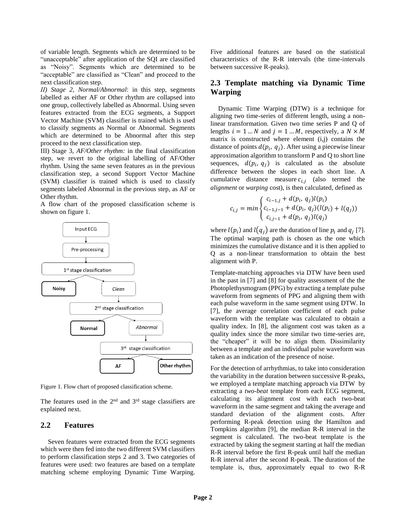of variable length. Segments which are determined to be "unacceptable" after application of the SQI are classified as "Noisy". Segments which are determined to be "acceptable" are classified as "Clean" and proceed to the next classification step.

*ΙΙ) Stage 2, Normal/Abnormal*: in this step, segments labelled as either AF or Other rhythm are collapsed into one group, collectively labelled as Abnormal. Using seven features extracted from the ECG segments, a Support Vector Machine (SVM) classifier is trained which is used to classify segments as Normal or Abnormal. Segments which are determined to be Abnormal after this step proceed to the next classification step.

III) Stage 3, *AF/Other rhythm:* in the final classification step, we revert to the original labelling of AF/Other rhythm. Using the same seven features as in the previous classification step, a second Support Vector Machine (SVM) classifier is trained which is used to classify segments labeled Abnormal in the previous step, as AF or Other rhythm.

A flow chart of the proposed classification scheme is shown on figure 1.



Figure 1. Flow chart of proposed classification scheme.

The features used in the  $2<sup>nd</sup>$  and  $3<sup>rd</sup>$  stage classifiers are explained next.

#### **2.2 Features**

Seven features were extracted from the ECG segments which were then fed into the two different SVM classifiers to perform classification steps 2 and 3. Two categories of features were used: two features are based on a template matching scheme employing Dynamic Time Warping.

Five additional features are based on the statistical characteristics of the R-R intervals (the time-intervals between successive R-peaks).

## **2.3 Template matching via Dynamic Time Warping**

Dynamic Time Warping (DTW) is a technique for aligning two time-series of different length, using a nonlinear transformation. Given two time series P and Q of lengths  $i = 1...N$  and  $j = 1...M$ , respectively, a  $N \times M$ matrix is constructed where element  $(i,j)$  contains the distance of points  $d(p_i, q_j)$ . After using a piecewise linear approximation algorithm to transform P and Q to short line sequences,  $d(p_i, q_j)$  is calculated as the absolute difference between the slopes in each short line. A cumulative distance measure  $c_{i,j}$  (also termed the *alignment* or *warping* cost), is then calculated, defined as

$$
c_{i,j} = min \begin{cases} c_{i-1,j} + d(p_i, q_j)(p_i) \\ c_{i-1,j-1} + d(p_i, q_j)(l(p_i) + l(q_j)) \\ c_{i,j-1} + d(p_i, q_j)(q_j) \end{cases}
$$

where  $l(p_i)$  and  $l(q_j)$  are the duration of line  $p_i$  and  $q_j$  [7]. The optimal warping path is chosen as the one which minimizes the cumulative distance and it is then applied to Q as a non-linear transformation to obtain the best alignment with P.

Template-matching approaches via DTW have been used in the past in [7] and [8] for quality assessment of the the Photoplethysmogram (PPG) by extracting a template pulse waveform from segments of PPG and aligning them with each pulse waveform in the same segment using DTW. In [7], the average correlation coefficient of each pulse waveform with the template was calculated to obtain a quality index. In [8], the alignment cost was taken as a quality index since the more similar two time-series are, the "cheaper" it will be to align them. Dissimilarity between a template and an individual pulse waveform was taken as an indication of the presence of noise.

For the detection of arrhythmias, to take into consideration the variability in the duration between successive R-peaks, we employed a template matching approach via DTW by extracting a *two-beat* template from each ECG segment, calculating its alignment cost with each two-beat waveform in the same segment and taking the average and standard deviation of the alignment costs. After performing R-peak detection using the Hamilton and Tompkins algorithm [9], the median R-R interval in the segment is calculated. The two-beat template is the extracted by taking the segment starting at half the median R-R interval before the first R-peak until half the median R-R interval after the second R-peak. The duration of the template is, thus, approximately equal to two R-R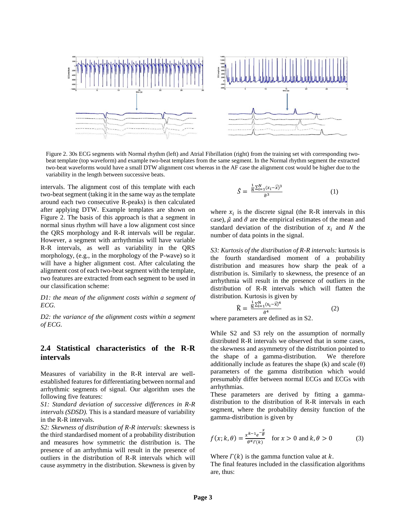

Figure 2. 30s ECG segments with Normal rhythm (left) and Atrial Fibrillation (right) from the training set with corresponding twobeat template (top waveform) and example two-beat templates from the same segment. In the Normal rhythm segment the extracted two-beat waveforms would have a small DTW alignment cost whereas in the AF case the alignment cost would be higher due to the variability in the length between successive beats.

intervals. The alignment cost of this template with each two-beat segment (taking it in the same way as the template around each two consecutive R-peaks) is then calculated after applying DTW. Example templates are shown on Figure 2. The basis of this approach is that a segment in normal sinus rhythm will have a low alignment cost since the QRS morphology and R-R intervals will be regular. However, a segment with arrhythmias will have variable R-R intervals, as well as variability in the QRS morphology, (e.g., in the morphology of the P-wave) so it will have a higher alignment cost. After calculating the alignment cost of each two-beat segment with the template, two features are extracted from each segment to be used in our classification scheme:

*D1: the mean of the alignment costs within a segment of ECG.*

*D2: the variance of the alignment costs within a segment of ECG.* 

## **2.4 Statistical characteristics of the R-R intervals**

Measures of variability in the R-R interval are wellestablished features for differentiating between normal and arrhythmic segments of signal. Our algorithm uses the following five features:

*S1: Standard deviation of successive differences in R-R intervals (SDSD).* This is a standard measure of variability in the R-R intervals.

*S2: Skewness of distribution of R-R intervals*: skewness is the third standardised moment of a probability distribution and measures how symmetric the distribution is. The presence of an arrhythmia will result in the presence of outliers in the distribution of R-R intervals which will cause asymmetry in the distribution. Skewness is given by

$$
\hat{S} = \frac{\frac{1}{N} \sum_{i=1}^{N} (x_i - \widehat{x})^3}{\widehat{\sigma}^3}
$$
 (1)

where  $x_i$  is the discrete signal (the R-R intervals in this case),  $\hat{\mu}$  and  $\hat{\sigma}$  are the empirical estimates of the mean and standard deviation of the distribution of  $x_i$  and N the number of data points in the signal.

*S3: Kurtosis of the distribution of R-R intervals:* kurtosis is the fourth standardised moment of a probability distribution and measures how sharp the peak of a distribution is. Similarly to skewness, the presence of an arrhythmia will result in the presence of outliers in the distribution of R-R intervals which will flatten the distribution. Kurtosis is given by

$$
\widehat{K} = \frac{\frac{1}{N} \sum_{i=1}^{N} (x_i - \widehat{x})^4}{\widehat{\sigma}^4} \tag{2}
$$

where parameters are defined as in S2.

While S2 and S3 rely on the assumption of normally distributed R-R intervals we observed that in some cases, the skewness and asymmetry of the distribution pointed to the shape of a gamma-distribution. We therefore additionally include as features the shape  $(k)$  and scale  $(\theta)$ parameters of the gamma distribution which would presumably differ between normal ECGs and ECGs with arrhythmias.

These parameters are derived by fitting a gammadistribution to the distribution of R-R intervals in each segment, where the probability density function of the gamma-distribution is given by

$$
f(x; k, \theta) = \frac{x^{k-1}e^{-\frac{x}{\theta}}}{\theta^k \Gamma(k)} \quad \text{for } x > 0 \text{ and } k, \theta > 0 \tag{3}
$$

Where  $\Gamma(k)$  is the gamma function value at k.

The final features included in the classification algorithms are, thus: